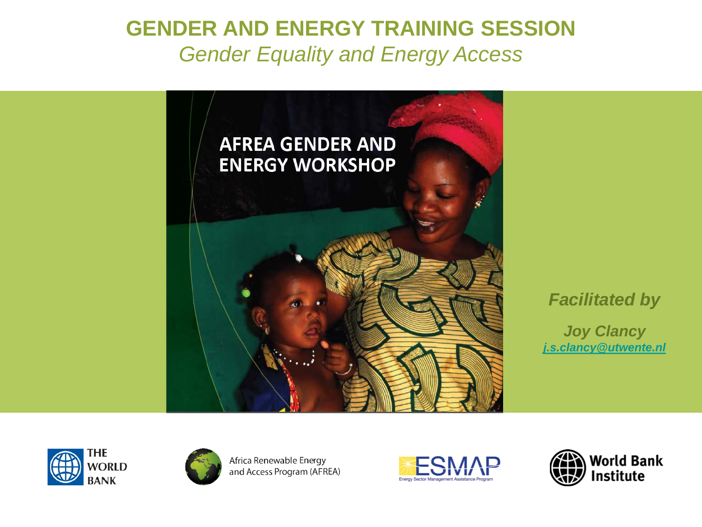### **GENDER AND ENERGY TRAINING SESSION** *Gender Equality and Energy Access*



### *Facilitated by*

*Joy Clancy [j.s.clancy@utwente.nl](mailto:j.s.clancy@utwente.nl)*





Africa Renewable Energy and Access Program (AFREA)



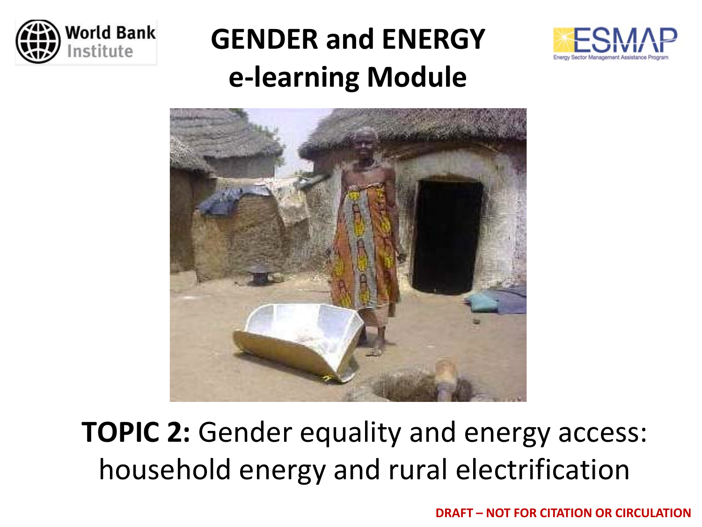

### **GENDER and ENERGY e-learning Module**





**TOPIC 2: Gender equality and energy access:** household energy and rural electrification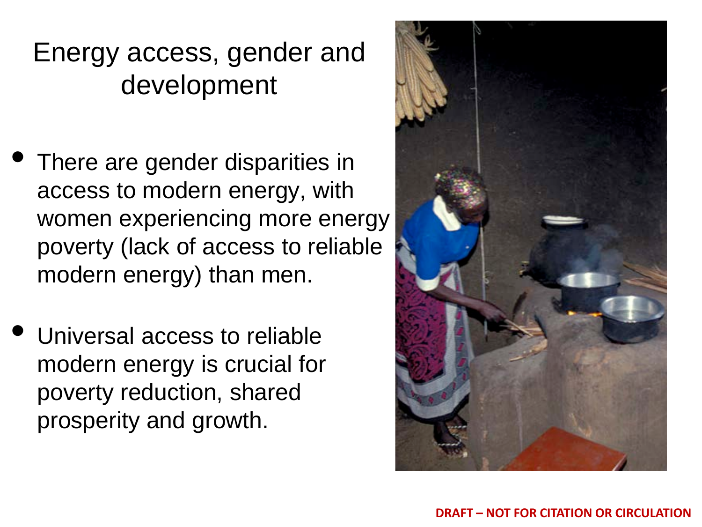### Energy access, gender and development

- There are gender disparities in access to modern energy, with women experiencing more energy poverty (lack of access to reliable modern energy) than men.
- Universal access to reliable modern energy is crucial for poverty reduction, shared prosperity and growth.

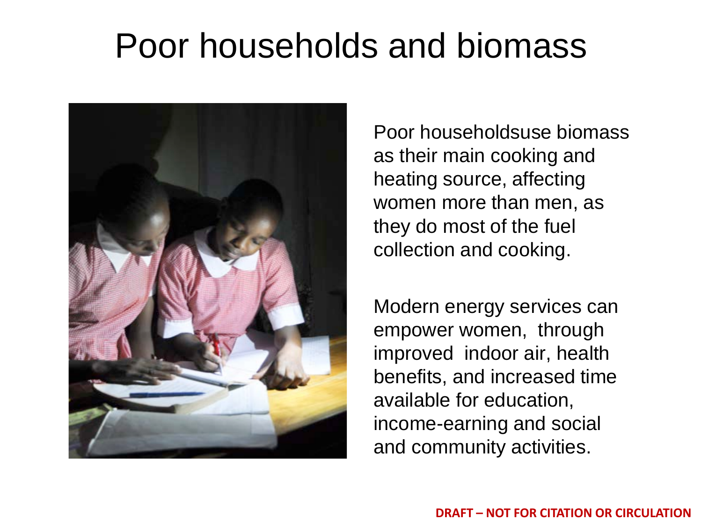## Poor households and biomass



Poor householdsuse biomass as their main cooking and heating source, affecting women more than men, as they do most of the fuel collection and cooking.

Modern energy services can empower women, through improved indoor air, health benefits, and increased time available for education, income-earning and social and community activities.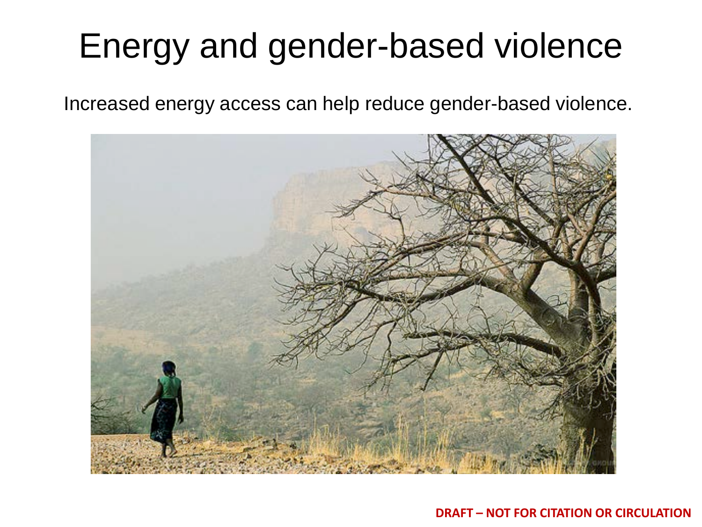# Energy and gender-based violence

Increased energy access can help reduce gender-based violence.



**DRAFT – NOT FOR CITATION OR CIRCULATION**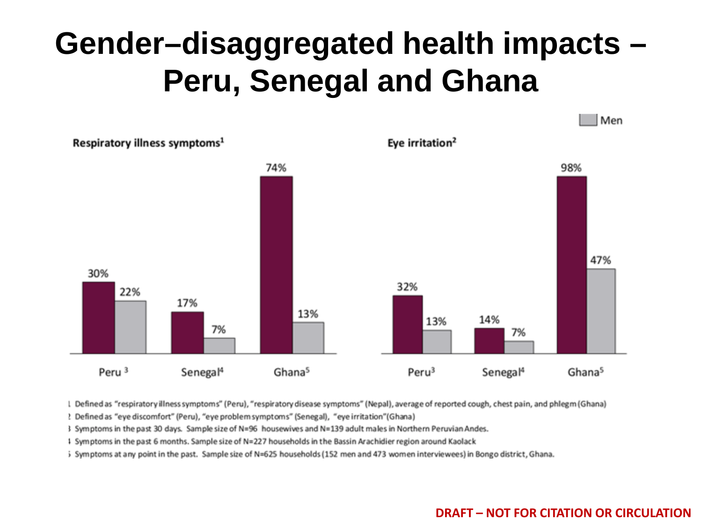### **Gender–disaggregated health impacts – Peru, Senegal and Ghana**



1. Defined as "respiratory illness symptoms" (Peru), "respiratory disease symptoms" (Nepal), average of reported cough, chest pain, and phlegm (Ghana)

2 Defined as "eye discomfort" (Peru), "eye problem symptoms" (Senegal), "eye irritation" (Ghana)

3 Symptoms in the past 30 days. Sample size of N=96 housewives and N=139 adult males in Northern Peruvian Andes.

1 Symptoms in the past 6 months. Sample size of N=227 households in the Bassin Arachidier region around Kaolack

5 Symptoms at any point in the past. Sample size of N=625 households (152 men and 473 women interviewees) in Bongo district, Ghana.

#### **DRAFT – NOT FOR CITATION OR CIRCULATION**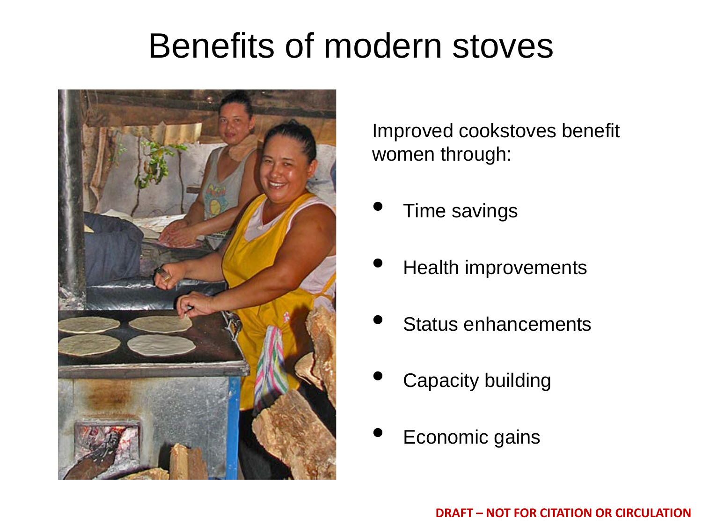### Benefits of modern stoves



Improved cookstoves benefit women through:

- Time savings
- Health improvements
- Status enhancements
- **Capacity building**
- Economic gains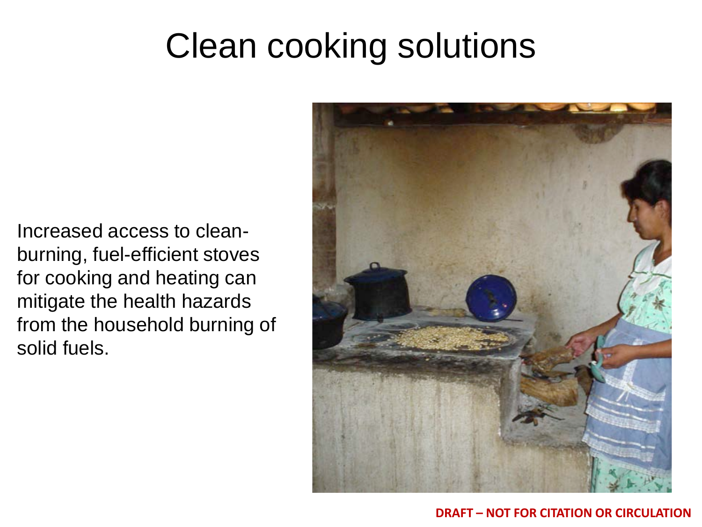# Clean cooking solutions

Increased access to cleanburning, fuel-efficient stoves for cooking and heating can mitigate the health hazards from the household burning of solid fuels.



#### **DRAFT – NOT FOR CITATION OR CIRCULATION**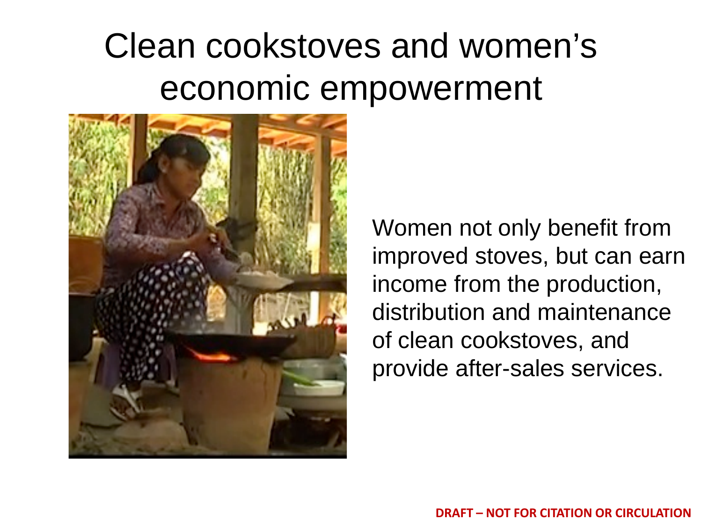# Clean cookstoves and women's economic empowerment



Women not only benefit from improved stoves, but can earn income from the production, distribution and maintenance of clean cookstoves, and provide after-sales services.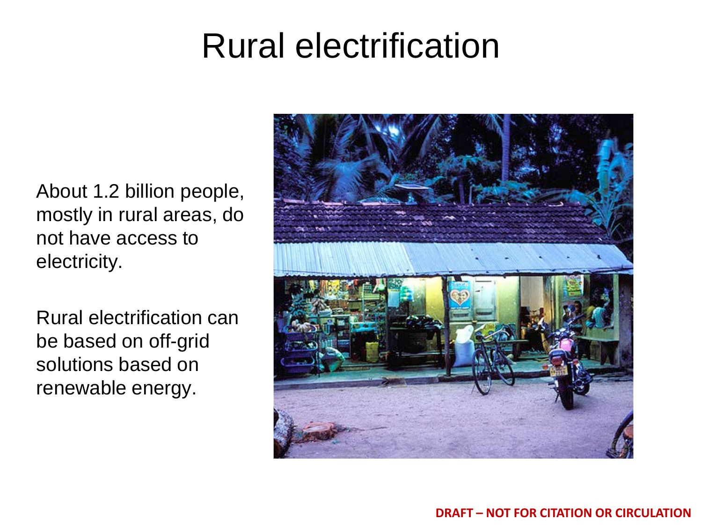## Rural electrification

About 1.2 billion people, mostly in rural areas, do not have access to electricity.

Rural electrification can be based on off-grid solutions based on renewable energy.

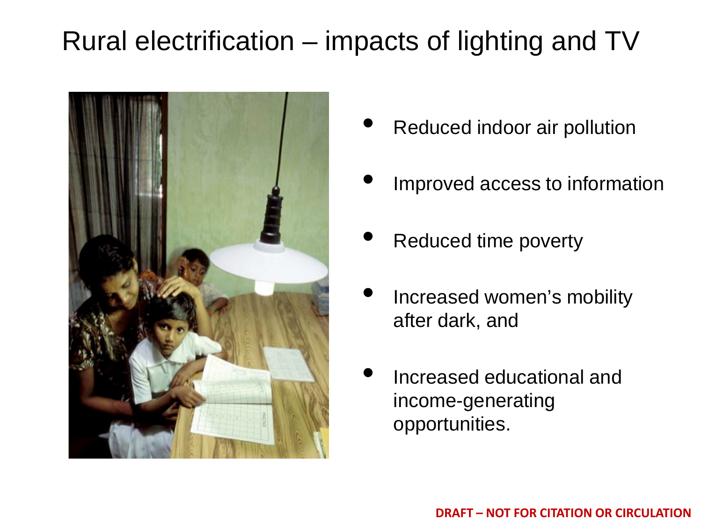### Rural electrification – impacts of lighting and TV



- Reduced indoor air pollution
- Improved access to information
- Reduced time poverty
- Increased women's mobility after dark, and
- Increased educational and income-generating opportunities.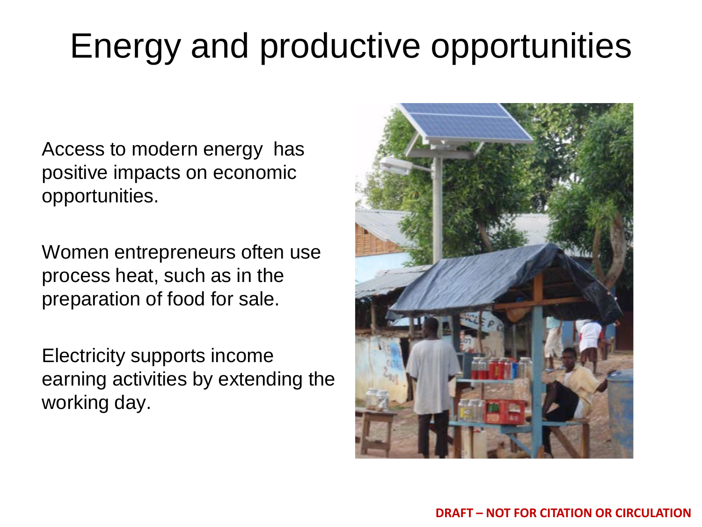# Energy and productive opportunities

Access to modern energy has positive impacts on economic opportunities.

Women entrepreneurs often use process heat, such as in the preparation of food for sale.

Electricity supports income earning activities by extending the working day.

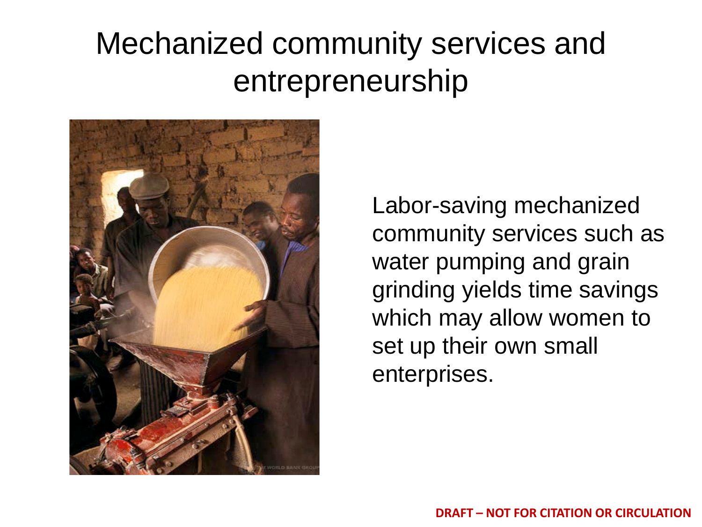### Mechanized community services and entrepreneurship



Labor-saving mechanized community services such as water pumping and grain grinding yields time savings which may allow women to set up their own small enterprises.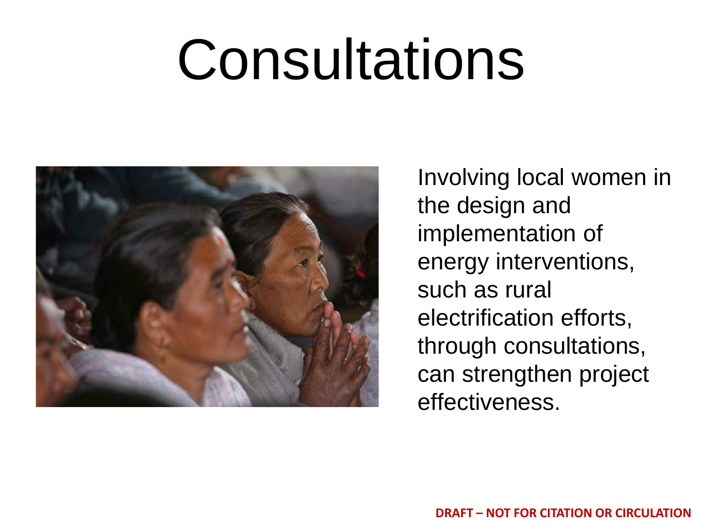# Consultations



Involving local women in the design and implementation of energy interventions, such as rural electrification efforts, through consultations, can strengthen project effectiveness.